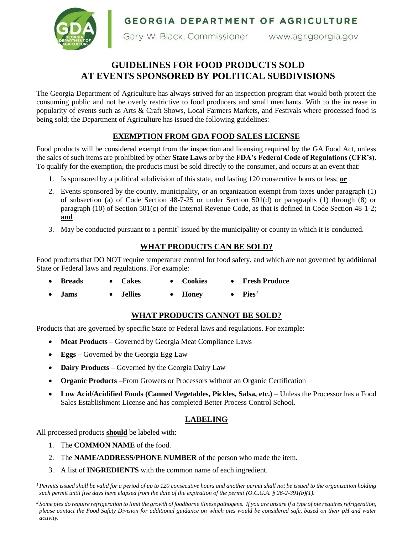**GEORGIA DEPARTMENT OF AGRICULTURE** 



Gary W. Black, Commissioner www.agr.georgia.gov

# **GUIDELINES FOR FOOD PRODUCTS SOLD AT EVENTS SPONSORED BY POLITICAL SUBDIVISIONS**

The Georgia Department of Agriculture has always strived for an inspection program that would both protect the consuming public and not be overly restrictive to food producers and small merchants. With to the increase in popularity of events such as Arts & Craft Shows, Local Farmers Markets, and Festivals where processed food is being sold; the Department of Agriculture has issued the following guidelines:

# **EXEMPTION FROM GDA FOOD SALES LICENSE**

Food products will be considered exempt from the inspection and licensing required by the GA Food Act, unless the sales of such items are prohibited by other **State Laws** or by the **FDA's Federal Code of Regulations (CFR's)**. To qualify for the exemption, the products must be sold directly to the consumer, and occurs at an event that:

- 1. Is sponsored by a political subdivision of this state, and lasting 120 consecutive hours or less; **or**
- 2. Events sponsored by the county, municipality, or an organization exempt from taxes under paragraph (1) of subsection (a) of Code Section 48-7-25 or under Section 501(d) or paragraphs (1) through (8) or paragraph (10) of Section 501(c) of the Internal Revenue Code, as that is defined in Code Section 48-1-2; **and**
- 3. May be conducted pursuant to a permit<sup>1</sup> issued by the municipality or county in which it is conducted.

# **WHAT PRODUCTS CAN BE SOLD?**

Food products that DO NOT require temperature control for food safety, and which are not governed by additional State or Federal laws and regulations. For example:

- **Breads Cakes Cookies Fresh Produce**
- **Jams Jellies Honey Pies**<sup>2</sup>

### **WHAT PRODUCTS CANNOT BE SOLD?**

Products that are governed by specific State or Federal laws and regulations. For example:

- **Meat Products** Governed by Georgia Meat Compliance Laws
- **Eggs** Governed by the Georgia Egg Law
- **Dairy Products** Governed by the Georgia Dairy Law
- **Organic Products** –From Growers or Processors without an Organic Certification
- **Low Acid/Acidified Foods (Canned Vegetables, Pickles, Salsa, etc.)** Unless the Processor has a Food Sales Establishment License and has completed Better Process Control School.

### **LABELING**

All processed products **should** be labeled with:

- 1. The **COMMON NAME** of the food.
- 2. The **NAME/ADDRESS/PHONE NUMBER** of the person who made the item.
- 3. A list of **INGREDIENTS** with the common name of each ingredient.

*<sup>1</sup>Permits issued shall be valid for a period of up to 120 consecutive hours and another permit shall not be issued to the organization holding such permit until five days have elapsed from the date of the expiration of the permit (O.C.G.A. § 26-2-391(b)(1).*

*<sup>2</sup> Some pies do require refrigeration to limit the growth of foodborne illness pathogens. If you are unsure if a type of pie requires refrigeration, please contact the Food Safety Division for additional guidance on which pies would be considered safe, based on their pH and water activity.*